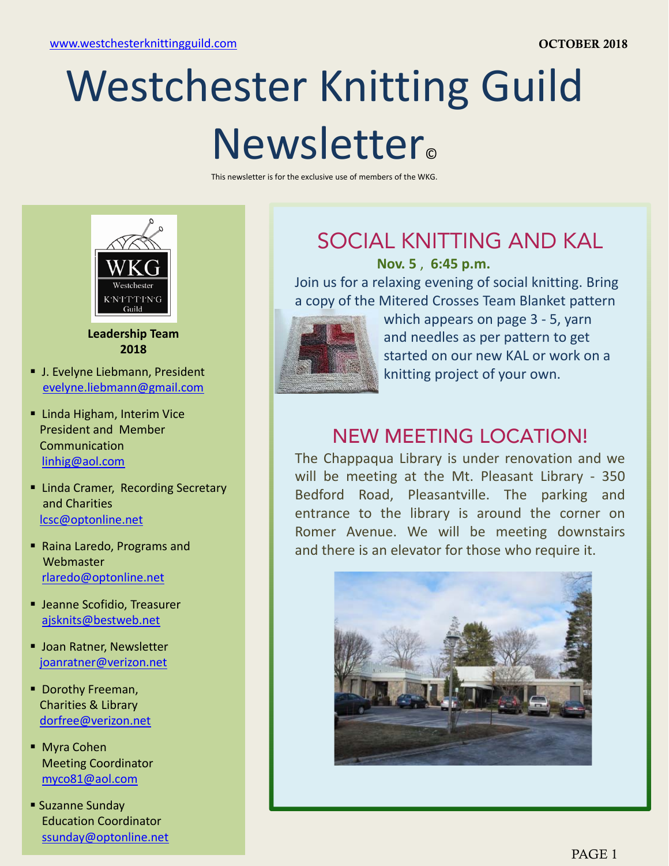# Westchester Knitting Guild Newsletter<sub>®</sub>

This newsletter is for the exclusive use of members of the WKG.



**Leadership Team 2018**

- **J. Evelyne Liebmann, President** evelyne.liebmann@gmail.com
- **E** Linda Higham, Interim Vice President and Member linhig@aol.com
- **E.** Linda Cramer, Recording Secretary and Charities lcsc@optonline.net
- **Webmaster** rlaredo@optonline.net
- **Jeanne Scofidio, Treasurer** ajsknits@bestweb.net
- **Joan Ratner, Newsletter** joanratner@verizon.net
- **Dorothy Freeman,** Charities & Library dorfree@verizon.net
- Myra Cohen Meeting Coordinator myco81@aol.com
- Suzanne Sunday Education Coordinator ssunday@optonline.net

## SOCIAL KNITTING AND KAL

**Nov. 5** , **6:45 p.m.**

Join us for a relaxing evening of social knitting. Bring a copy of the Mitered Crosses Team Blanket pattern



which appears on page 3 - 5, yarn and needles as per pattern to get started on our new KAL or work on a knitting project of your own.

### President and Member<br>Communication

The Chappaqua Library is under renovation and we will be meeting at the Mt. Pleasant Library - 350 Bedford Road, Pleasantville. The parking and entrance to the library is around the corner on **Example 2018 1999 Example 2019** Romer Avenue. We will be meeting downstairs **Raina Laredo, Programs and Security 2019** and there is an elevator for those who require it and there is an elevator for those who require it.

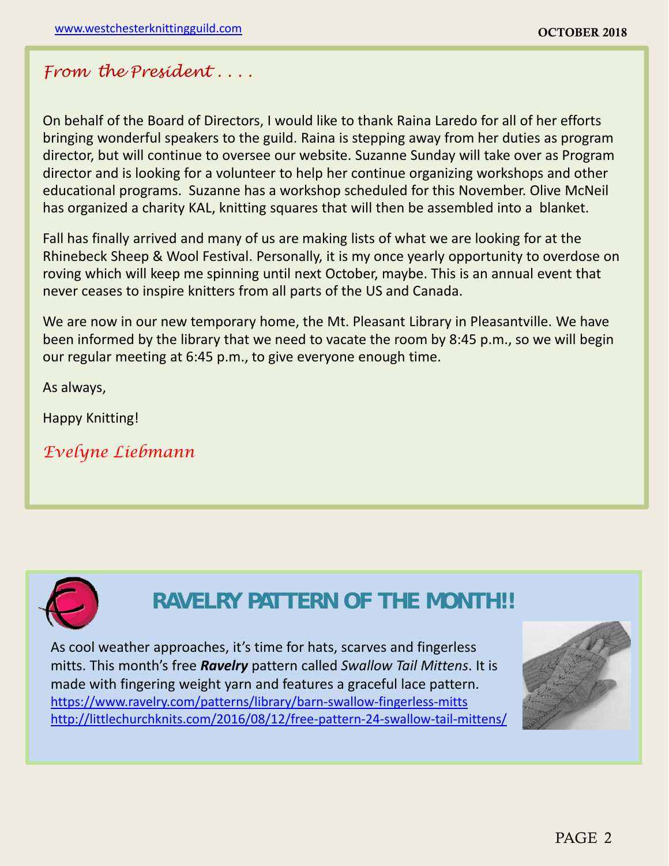#### *From the President . . . .*

On behalf of the Board of Directors, I would like to thank Raina Laredo for all of her efforts bringing wonderful speakers to the guild. Raina is stepping away from her duties as program director, but will continue to oversee our website. Suzanne Sunday will take over as Program director and is looking for a volunteer to help her continue organizing workshops and other educational programs. Suzanne has a workshop scheduled for this November. Olive McNeil has organized a charity KAL, knitting squares that will then be assembled into a blanket.

Fall has finally arrived and many of us are making lists of what we are looking for at the Rhinebeck Sheep & Wool Festival. Personally, it is my once yearly opportunity to overdose on roving which will keep me spinning until next October, maybe. This is an annual event that never ceases to inspire knitters from all parts of the US and Canada.

We are now in our new temporary home, the Mt. Pleasant Library in Pleasantville. We have been informed by the library that we need to vacate the room by 8:45 p.m., so we will begin our regular meeting at 6:45 p.m., to give everyone enough time.

As always,

Happy Knitting!

*Evelyne Liebmann*



### **RAVELRY PATTERN OF THE MONTH!!**

As cool weather approaches, it's time for hats, scarves and fingerless mitts. This month's free *Ravelry* pattern called *Swallow Tail Mittens*. It is made with fingering weight yarn and features a graceful lace pattern. https://www.ravelry.com/patterns/library/barn‐swallow‐fingerless‐mitts http://littlechurchknits.com/2016/08/12/free‐pattern‐24‐swallow‐tail‐mittens/

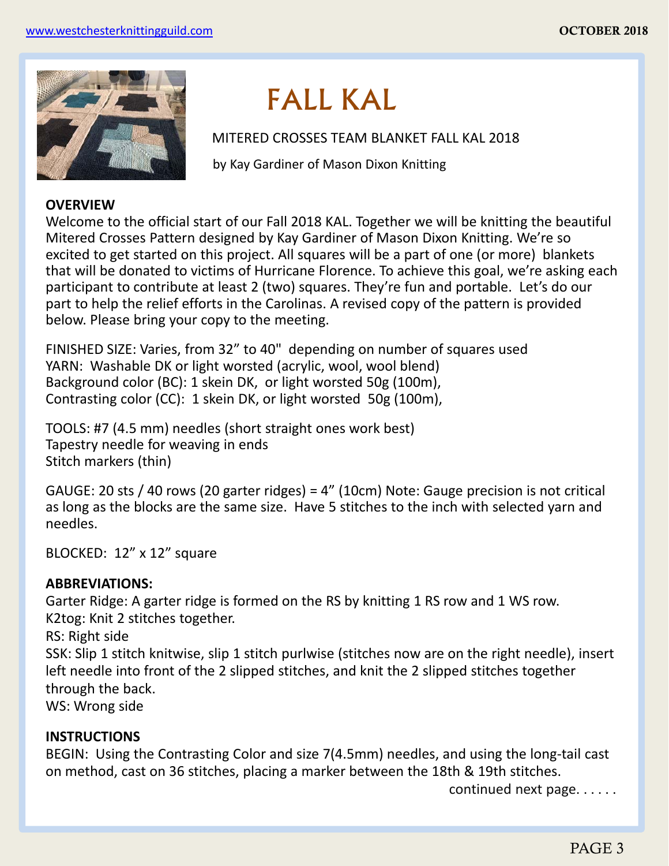

## FALL KAL

MITERED CROSSES TEAM BLANKET FALL KAL 2018

by Kay Gardiner of Mason Dixon Knitting

#### **OVERVIEW**

Welcome to the official start of our Fall 2018 KAL. Together we will be knitting the beautiful Mitered Crosses Pattern designed by Kay Gardiner of Mason Dixon Knitting. We're so excited to get started on this project. All squares will be a part of one (or more) blankets that will be donated to victims of Hurricane Florence. To achieve this goal, we're asking each participant to contribute at least 2 (two) squares. They're fun and portable. Let's do our part to help the relief efforts in the Carolinas. A revised copy of the pattern is provided below. Please bring your copy to the meeting.

FINISHED SIZE: Varies, from 32" to 40" depending on number of squares used YARN: Washable DK or light worsted (acrylic, wool, wool blend) Background color (BC): 1 skein DK, or light worsted 50g (100m), Contrasting color (CC): 1 skein DK, or light worsted 50g (100m),

TOOLS: #7 (4.5 mm) needles (short straight ones work best) Tapestry needle for weaving in ends Stitch markers (thin)

GAUGE: 20 sts / 40 rows (20 garter ridges) = 4" (10cm) Note: Gauge precision is not critical as long as the blocks are the same size. Have 5 stitches to the inch with selected yarn and needles.

BLOCKED: 12" x 12" square

#### **ABBREVIATIONS:**

Garter Ridge: A garter ridge is formed on the RS by knitting 1 RS row and 1 WS row. K2tog: Knit 2 stitches together.

RS: Right side

SSK: Slip 1 stitch knitwise, slip 1 stitch purlwise (stitches now are on the right needle), insert left needle into front of the 2 slipped stitches, and knit the 2 slipped stitches together through the back.

WS: Wrong side

#### **INSTRUCTIONS**

BEGIN: Using the Contrasting Color and size 7(4.5mm) needles, and using the long‐tail cast on method, cast on 36 stitches, placing a marker between the 18th & 19th stitches.

continued next page. . . . . .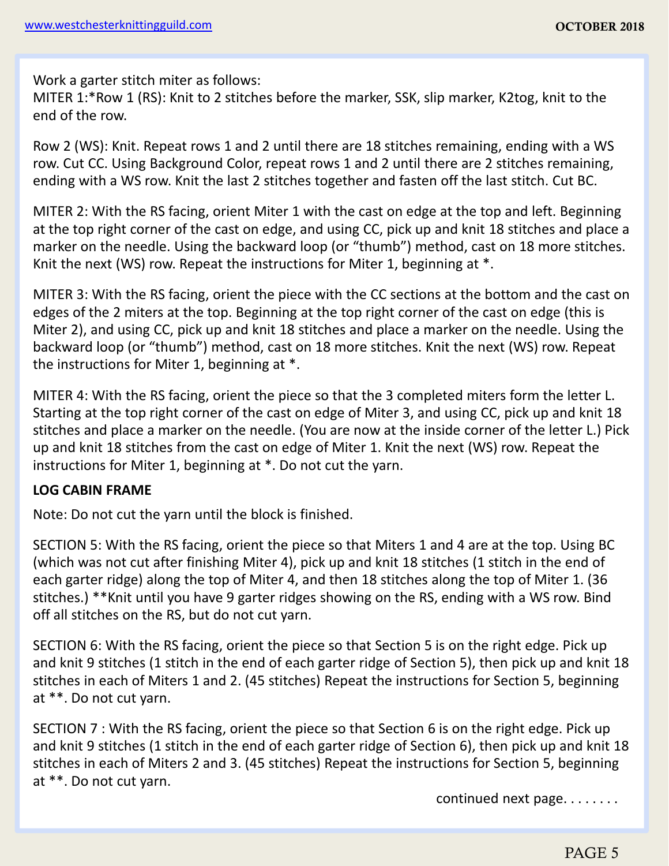Work a garter stitch miter as follows:

MITER 1:\*Row 1 (RS): Knit to 2 stitches before the marker, SSK, slip marker, K2tog, knit to the end of the row.

Row 2 (WS): Knit. Repeat rows 1 and 2 until there are 18 stitches remaining, ending with a WS row. Cut CC. Using Background Color, repeat rows 1 and 2 until there are 2 stitches remaining, ending with a WS row. Knit the last 2 stitches together and fasten off the last stitch. Cut BC.

MITER 2: With the RS facing, orient Miter 1 with the cast on edge at the top and left. Beginning at the top right corner of the cast on edge, and using CC, pick up and knit 18 stitches and place a marker on the needle. Using the backward loop (or "thumb") method, cast on 18 more stitches. Knit the next (WS) row. Repeat the instructions for Miter 1, beginning at \*.

MITER 3: With the RS facing, orient the piece with the CC sections at the bottom and the cast on edges of the 2 miters at the top. Beginning at the top right corner of the cast on edge (this is Miter 2), and using CC, pick up and knit 18 stitches and place a marker on the needle. Using the backward loop (or "thumb") method, cast on 18 more stitches. Knit the next (WS) row. Repeat the instructions for Miter 1, beginning at \*.

MITER 4: With the RS facing, orient the piece so that the 3 completed miters form the letter L. Starting at the top right corner of the cast on edge of Miter 3, and using CC, pick up and knit 18 stitches and place a marker on the needle. (You are now at the inside corner of the letter L.) Pick up and knit 18 stitches from the cast on edge of Miter 1. Knit the next (WS) row. Repeat the instructions for Miter 1, beginning at \*. Do not cut the yarn.

#### **LOG CABIN FRAME**

Note: Do not cut the yarn until the block is finished.

SECTION 5: With the RS facing, orient the piece so that Miters 1 and 4 are at the top. Using BC (which was not cut after finishing Miter 4), pick up and knit 18 stitches (1 stitch in the end of each garter ridge) along the top of Miter 4, and then 18 stitches along the top of Miter 1. (36 stitches.) \*\*Knit until you have 9 garter ridges showing on the RS, ending with a WS row. Bind off all stitches on the RS, but do not cut yarn.

SECTION 6: With the RS facing, orient the piece so that Section 5 is on the right edge. Pick up and knit 9 stitches (1 stitch in the end of each garter ridge of Section 5), then pick up and knit 18 stitches in each of Miters 1 and 2. (45 stitches) Repeat the instructions for Section 5, beginning at \*\*. Do not cut yarn.

SECTION 7 : With the RS facing, orient the piece so that Section 6 is on the right edge. Pick up and knit 9 stitches (1 stitch in the end of each garter ridge of Section 6), then pick up and knit 18 stitches in each of Miters 2 and 3. (45 stitches) Repeat the instructions for Section 5, beginning at \*\*. Do not cut yarn.

continued next page. . . . . . . .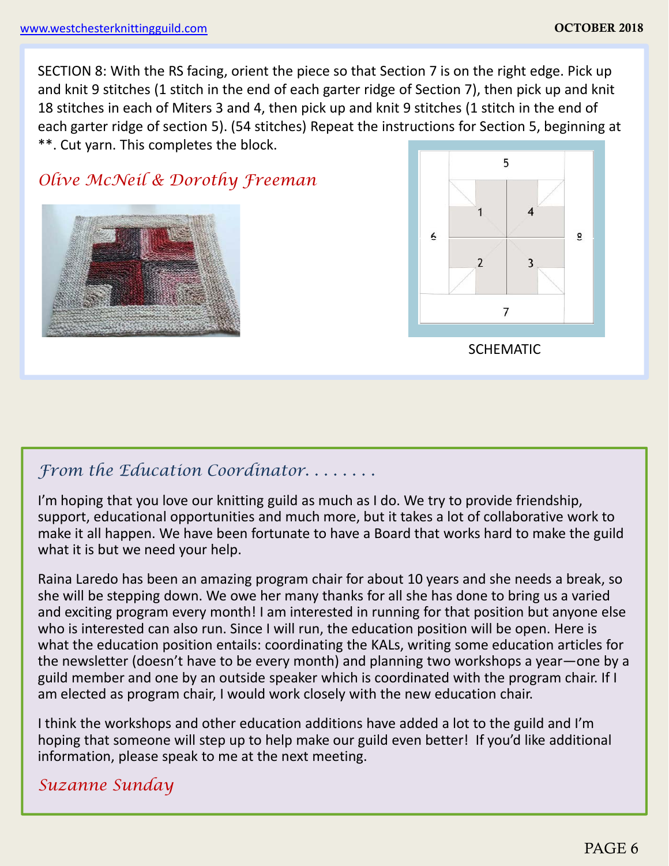SECTION 8: With the RS facing, orient the piece so that Section 7 is on the right edge. Pick up and knit 9 stitches (1 stitch in the end of each garter ridge of Section 7), then pick up and knit 18 stitches in each of Miters 3 and 4, then pick up and knit 9 stitches (1 stitch in the end of each garter ridge of section 5). (54 stitches) Repeat the instructions for Section 5, beginning at \*\*. Cut yarn. This completes the block.

*Olive McNeil & Dorothy Freeman*

*From the Education Coordinator. . . . . . . .*

I'm hoping that you love our knitting guild as much as I do. We try to provide friendship, support, educational opportunities and much more, but it takes a lot of collaborative work to make it all happen. We have been fortunate to have a Board that works hard to make the guild what it is but we need your help.

Raina Laredo has been an amazing program chair for about 10 years and she needs a break, so she will be stepping down. We owe her many thanks for all she has done to bring us a varied and exciting program every month! I am interested in running for that position but anyone else who is interested can also run. Since I will run, the education position will be open. Here is what the education position entails: coordinating the KALs, writing some education articles for the newsletter (doesn't have to be every month) and planning two workshops a year—one by a guild member and one by an outside speaker which is coordinated with the program chair. If I am elected as program chair, I would work closely with the new education chair.

I think the workshops and other education additions have added a lot to the guild and I'm hoping that someone will step up to help make our guild even better! If you'd like additional information, please speak to me at the next meeting.

#### *Suzanne Sunday*



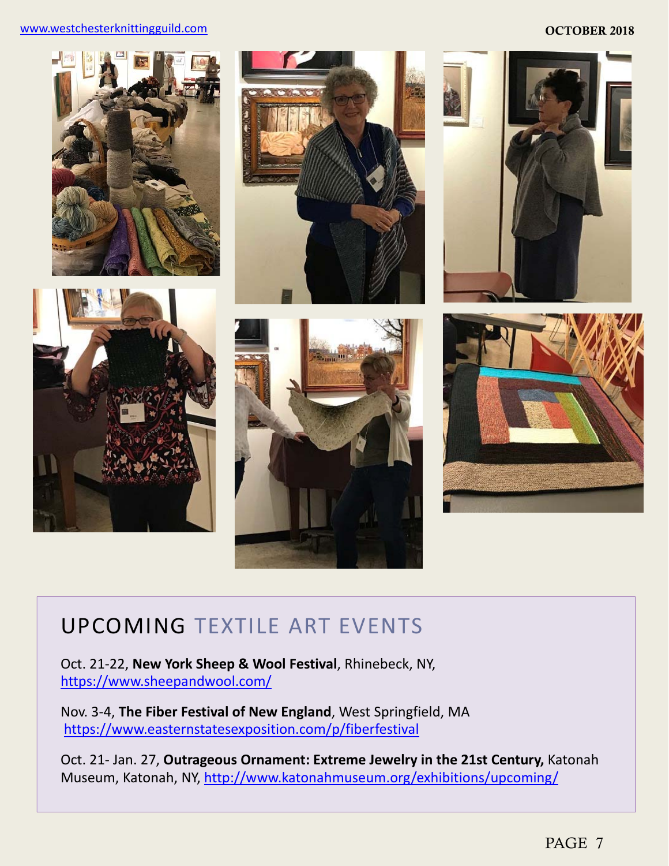#### www.westchesterknittingguild.com and the community of the community of the community of the community of the community of the community of the community of the community of the community of the community of the community o







### UPCOMING TEXTILE ART EVENTS

Oct. 21‐22, **New York Sheep & Wool Festival**, Rhinebeck, NY, https://www.sheepandwool.com/

Nov. 3‐4, **The Fiber Festival of New England**, West Springfield, MA https://www.easternstatesexposition.com/p/fiberfestival

Oct. 21- Jan. 27, Outrageous Ornament: Extreme Jewelry in the 21st Century, Katonah Museum, Katonah, NY, http://www.katonahmuseum.org/exhibitions/upcoming/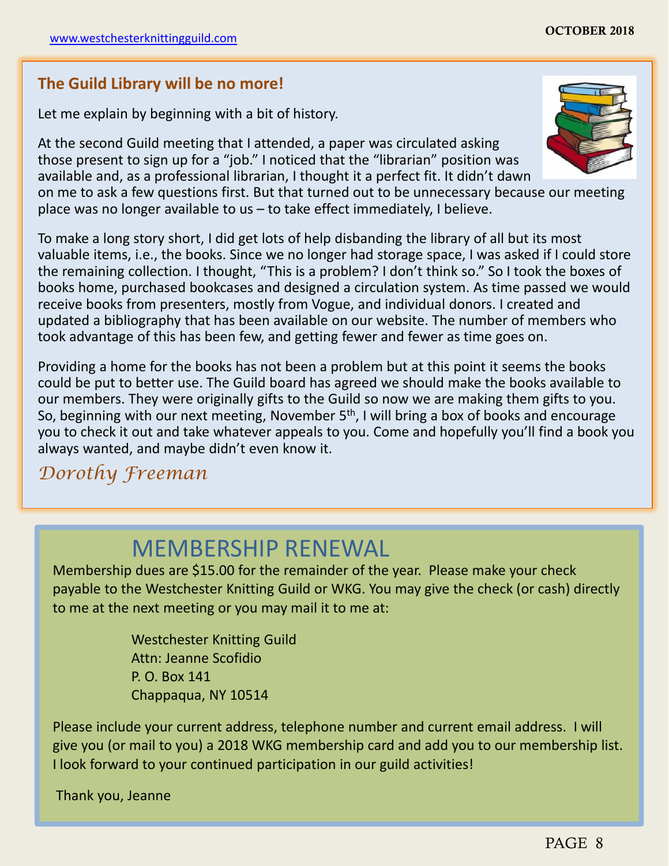#### **The Guild Library will be no more!**

Let me explain by beginning with a bit of history.

At the second Guild meeting that I attended, a paper was circulated asking those present to sign up for a "job." I noticed that the "librarian" position was available and, as a professional librarian, I thought it a perfect fit. It didn't dawn

on me to ask a few questions first. But that turned out to be unnecessary because our meeting place was no longer available to us – to take effect immediately, I believe.

To make a long story short, I did get lots of help disbanding the library of all but its most valuable items, i.e., the books. Since we no longer had storage space, I was asked if I could store the remaining collection. I thought, "This is a problem? I don't think so." So I took the boxes of books home, purchased bookcases and designed a circulation system. As time passed we would receive books from presenters, mostly from Vogue, and individual donors. I created and updated a bibliography that has been available on our website. The number of members who took advantage of this has been few, and getting fewer and fewer as time goes on.

Providing a home for the books has not been a problem but at this point it seems the books could be put to better use. The Guild board has agreed we should make the books available to our members. They were originally gifts to the Guild so now we are making them gifts to you. So, beginning with our next meeting, November  $5<sup>th</sup>$ , I will bring a box of books and encourage you to check it out and take whatever appeals to you. Come and hopefully you'll find a book you always wanted, and maybe didn't even know it.

### *Dorothy Freeman*

### MEMBERSHIP RENEWAL

Membership dues are \$15.00 for the remainder of the year. Please make your check payable to the Westchester Knitting Guild or WKG. You may give the check (or cash) directly to me at the next meeting or you may mail it to me at:

> Westchester Knitting Guild Attn: Jeanne Scofidio P. O. Box 141 Chappaqua, NY 10514

Please include your current address, telephone number and current email address. I will give you (or mail to you) a 2018 WKG membership card and add you to our membership list. I look forward to your continued participation in our guild activities!

Thank you, Jeanne